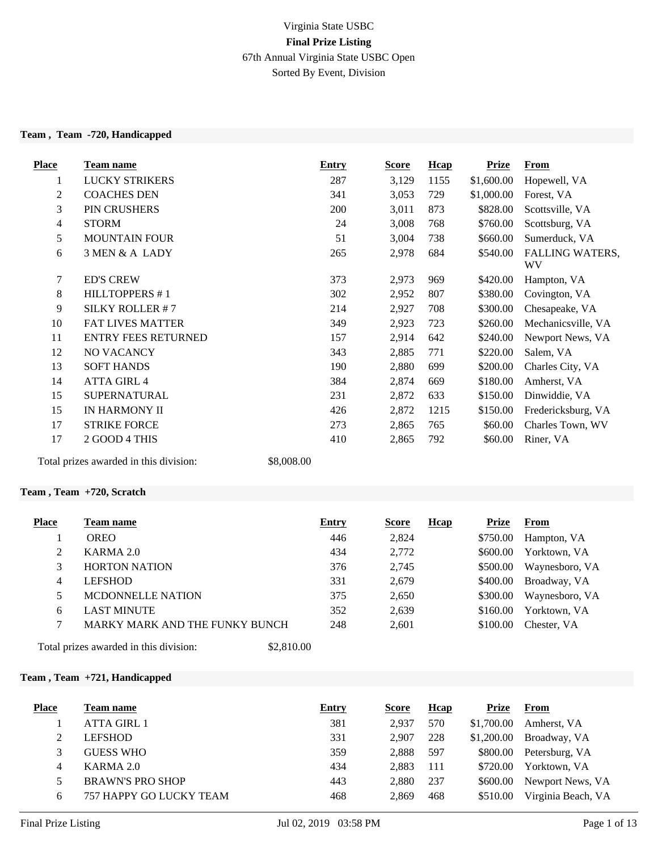# Virginia State USBC **Final Prize Listing** 67th Annual Virginia State USBC Open Sorted By Event, Division

#### **Team , Team -720, Handicapped**

| <b>Place</b> | Team name                  | <b>Entry</b> | <u>Score</u> | <b>Hcap</b> | <b>Prize</b> | From                         |
|--------------|----------------------------|--------------|--------------|-------------|--------------|------------------------------|
| 1            | LUCKY STRIKERS             | 287          | 3,129        | 1155        | \$1,600.00   | Hopewell, VA                 |
| 2            | <b>COACHES DEN</b>         | 341          | 3,053        | 729         | \$1,000.00   | Forest, VA                   |
| 3            | PIN CRUSHERS               | 200          | 3,011        | 873         | \$828.00     | Scottsville, VA              |
| 4            | <b>STORM</b>               | 24           | 3,008        | 768         | \$760.00     | Scottsburg, VA               |
| 5            | <b>MOUNTAIN FOUR</b>       | 51           | 3,004        | 738         | \$660.00     | Sumerduck, VA                |
| 6            | 3 MEN & A LADY             | 265          | 2,978        | 684         | \$540.00     | <b>FALLING WATERS,</b><br>WV |
| 7            | <b>ED'S CREW</b>           | 373          | 2,973        | 969         | \$420.00     | Hampton, VA                  |
| 8            | <b>HILLTOPPERS #1</b>      | 302          | 2,952        | 807         | \$380.00     | Covington, VA                |
| 9            | SILKY ROLLER #7            | 214          | 2,927        | 708         | \$300.00     | Chesapeake, VA               |
| 10           | <b>FAT LIVES MATTER</b>    | 349          | 2,923        | 723         | \$260.00     | Mechanicsville, VA           |
| 11           | <b>ENTRY FEES RETURNED</b> | 157          | 2,914        | 642         | \$240.00     | Newport News, VA             |
| 12           | NO VACANCY                 | 343          | 2,885        | 771         | \$220.00     | Salem, VA                    |
| 13           | <b>SOFT HANDS</b>          | 190          | 2,880        | 699         | \$200.00     | Charles City, VA             |
| 14           | <b>ATTA GIRL 4</b>         | 384          | 2,874        | 669         | \$180.00     | Amherst, VA                  |
| 15           | <b>SUPERNATURAL</b>        | 231          | 2,872        | 633         | \$150.00     | Dinwiddie, VA                |
| 15           | IN HARMONY II              | 426          | 2,872        | 1215        | \$150.00     | Fredericksburg, VA           |
| 17           | <b>STRIKE FORCE</b>        | 273          | 2,865        | 765         | \$60.00      | Charles Town, WV             |
| 17           | 2 GOOD 4 THIS              | 410          | 2,865        | 792         | \$60.00      | Riner, VA                    |

Total prizes awarded in this division: \$8,008.00

## **Team , Team +720, Scratch**

| <b>Place</b> | Team name                      | <b>Entry</b> | <b>Score</b> | <b>H</b> cap | Prize    | From           |
|--------------|--------------------------------|--------------|--------------|--------------|----------|----------------|
|              | <b>OREO</b>                    | 446          | 2,824        |              | \$750.00 | Hampton, VA    |
| 2            | KARMA 2.0                      | 434          | 2,772        |              | \$600.00 | Yorktown, VA   |
|              | <b>HORTON NATION</b>           | 376          | 2,745        |              | \$500.00 | Waynesboro, VA |
| 4            | <b>LEFSHOD</b>                 | 331          | 2,679        |              | \$400.00 | Broadway, VA   |
|              | <b>MCDONNELLE NATION</b>       | 375          | 2,650        |              | \$300.00 | Waynesboro, VA |
| 6            | <b>LAST MINUTE</b>             | 352          | 2,639        |              | \$160.00 | Yorktown, VA   |
|              | MARKY MARK AND THE FUNKY BUNCH | 248          | 2,601        |              | \$100.00 | Chester, VA    |
| <b>m</b> 1 . | .<br>$AA$ $01000$              |              |              |              |          |                |

Total prizes awarded in this division: \$2,810.00

## **Team , Team +721, Handicapped**

| <b>Place</b> | Team name                      | <b>Entry</b> | Score | Hcap | Prize      | From               |
|--------------|--------------------------------|--------------|-------|------|------------|--------------------|
|              | <b>ATTA GIRL 1</b>             | 381          | 2.937 | 570  | \$1,700.00 | Amherst, VA        |
|              | <b>LEFSHOD</b>                 | 331          | 2.907 | 228  | \$1,200.00 | Broadway, VA       |
|              | <b>GUESS WHO</b>               | 359          | 2,888 | 597  | \$800.00   | Petersburg, VA     |
|              | KARMA 2.0                      | 434          | 2.883 | 111  | \$720.00   | Yorktown, VA       |
|              | <b>BRAWN'S PRO SHOP</b>        | 443          | 2,880 | 237  | \$600.00   | Newport News, VA   |
| 6            | <b>757 HAPPY GO LUCKY TEAM</b> | 468          | 2,869 | 468  | \$510.00   | Virginia Beach, VA |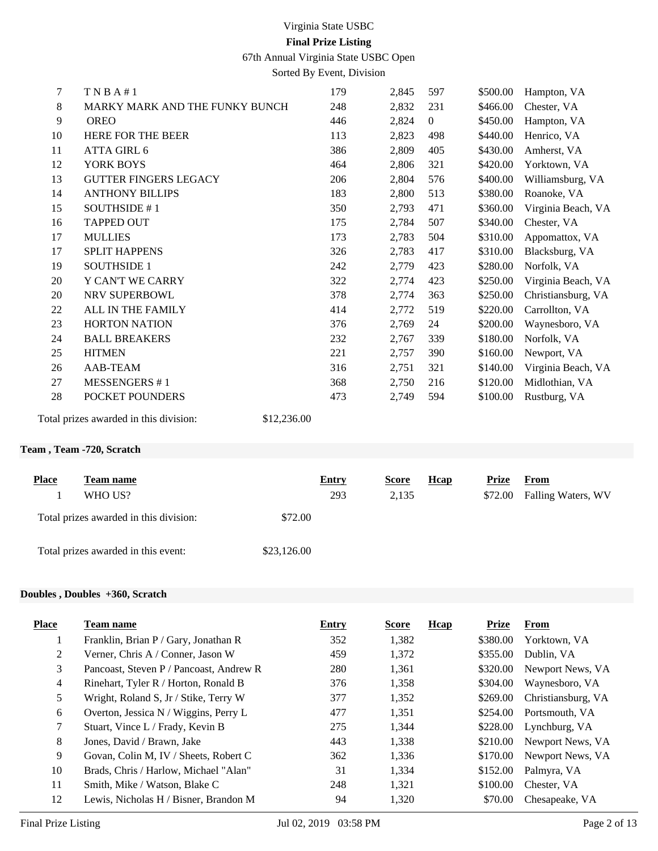67th Annual Virginia State USBC Open

Sorted By Event, Division

| $\tau$ | T N B A # 1                            | 179         | 2,845 | 597            | \$500.00 | Hampton, VA        |
|--------|----------------------------------------|-------------|-------|----------------|----------|--------------------|
| 8      | MARKY MARK AND THE FUNKY BUNCH         | 248         | 2,832 | 231            | \$466.00 | Chester, VA        |
| 9      | <b>OREO</b>                            | 446         | 2,824 | $\overline{0}$ | \$450.00 | Hampton, VA        |
| 10     | <b>HERE FOR THE BEER</b>               | 113         | 2,823 | 498            | \$440.00 | Henrico, VA        |
| 11     | ATTA GIRL 6                            | 386         | 2,809 | 405            | \$430.00 | Amherst, VA        |
| 12     | YORK BOYS                              | 464         | 2,806 | 321            | \$420.00 | Yorktown, VA       |
| 13     | <b>GUTTER FINGERS LEGACY</b>           | 206         | 2,804 | 576            | \$400.00 | Williamsburg, VA   |
| 14     | <b>ANTHONY BILLIPS</b>                 | 183         | 2,800 | 513            | \$380.00 | Roanoke, VA        |
| 15     | SOUTHSIDE #1                           | 350         | 2,793 | 471            | \$360.00 | Virginia Beach, VA |
| 16     | <b>TAPPED OUT</b>                      | 175         | 2,784 | 507            | \$340.00 | Chester, VA        |
| 17     | <b>MULLIES</b>                         | 173         | 2,783 | 504            | \$310.00 | Appomattox, VA     |
| 17     | <b>SPLIT HAPPENS</b>                   | 326         | 2,783 | 417            | \$310.00 | Blacksburg, VA     |
| 19     | <b>SOUTHSIDE 1</b>                     | 242         | 2,779 | 423            | \$280.00 | Norfolk, VA        |
| 20     | Y CAN'T WE CARRY                       | 322         | 2,774 | 423            | \$250.00 | Virginia Beach, VA |
| 20     | NRV SUPERBOWL                          | 378         | 2,774 | 363            | \$250.00 | Christiansburg, VA |
| 22     | ALL IN THE FAMILY                      | 414         | 2,772 | 519            | \$220.00 | Carrollton, VA     |
| 23     | <b>HORTON NATION</b>                   | 376         | 2,769 | 24             | \$200.00 | Waynesboro, VA     |
| 24     | <b>BALL BREAKERS</b>                   | 232         | 2,767 | 339            | \$180.00 | Norfolk, VA        |
| 25     | <b>HITMEN</b>                          | 221         | 2,757 | 390            | \$160.00 | Newport, VA        |
| 26     | AAB-TEAM                               | 316         | 2,751 | 321            | \$140.00 | Virginia Beach, VA |
| 27     | <b>MESSENGERS #1</b>                   | 368         | 2,750 | 216            | \$120.00 | Midlothian, VA     |
| 28     | POCKET POUNDERS                        | 473         | 2,749 | 594            | \$100.00 | Rustburg, VA       |
|        | Total prizes awarded in this division: | \$12,236.00 |       |                |          |                    |

## **Team , Team -720, Scratch**

| <b>Place</b><br>Team name<br>WHO US?   |             | <b>Entry</b><br>293 | <b>Score</b><br>2,135 | <b>H</b> cap | Prize<br>\$72.00 | From<br>Falling Waters, WV |
|----------------------------------------|-------------|---------------------|-----------------------|--------------|------------------|----------------------------|
| Total prizes awarded in this division: | \$72.00     |                     |                       |              |                  |                            |
| Total prizes awarded in this event:    | \$23,126.00 |                     |                       |              |                  |                            |

# **Doubles , Doubles +360, Scratch**

| <b>Place</b>   | Team name                               | Entry | <b>Score</b> | Hcap | <b>Prize</b> | From               |
|----------------|-----------------------------------------|-------|--------------|------|--------------|--------------------|
| 1              | Franklin, Brian P / Gary, Jonathan R    | 352   | 1,382        |      | \$380.00     | Yorktown, VA       |
| 2              | Verner, Chris A / Conner, Jason W       | 459   | 1,372        |      | \$355.00     | Dublin, VA         |
| 3              | Pancoast, Steven P / Pancoast, Andrew R | 280   | 1,361        |      | \$320.00     | Newport News, VA   |
| $\overline{4}$ | Rinehart, Tyler R / Horton, Ronald B    | 376   | 1,358        |      | \$304.00     | Waynesboro, VA     |
| 5              | Wright, Roland S, Jr / Stike, Terry W   | 377   | 1,352        |      | \$269.00     | Christiansburg, VA |
| 6              | Overton, Jessica N / Wiggins, Perry L   | 477   | 1,351        |      | \$254.00     | Portsmouth, VA     |
| 7              | Stuart, Vince L / Frady, Kevin B        | 275   | 1,344        |      | \$228.00     | Lynchburg, VA      |
| 8              | Jones, David / Brawn, Jake              | 443   | 1,338        |      | \$210.00     | Newport News, VA   |
| 9              | Govan, Colin M, IV / Sheets, Robert C   | 362   | 1,336        |      | \$170.00     | Newport News, VA   |
| 10             | Brads, Chris / Harlow, Michael "Alan"   | 31    | 1,334        |      | \$152.00     | Palmyra, VA        |
| 11             | Smith, Mike / Watson, Blake C           | 248   | 1,321        |      | \$100.00     | Chester, VA        |
| 12             | Lewis, Nicholas H / Bisner, Brandon M   | 94    | 1,320        |      | \$70.00      | Chesapeake, VA     |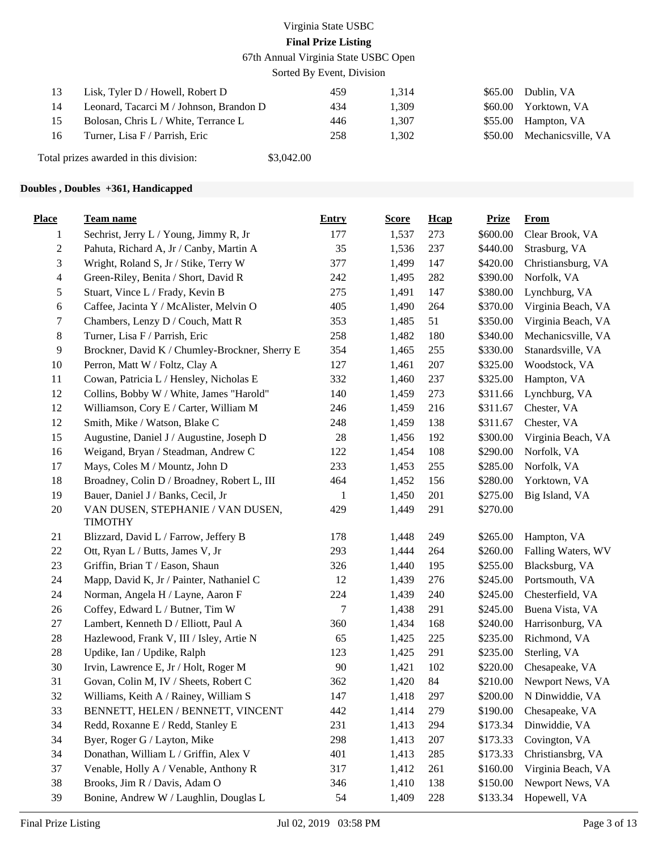67th Annual Virginia State USBC Open

Sorted By Event, Division

|    | Lisk, Tyler D / Howell, Robert D        | 459 | 1.314 |         | $$65.00$ Dublin. VA        |
|----|-----------------------------------------|-----|-------|---------|----------------------------|
| 14 | Leonard, Tacarci M / Johnson, Brandon D | 434 | 1.309 | \$60.00 | Yorktown, VA               |
|    | Bolosan, Chris L / White, Terrance L    | 446 | 1.307 |         | \$55.00 Hampton, VA        |
| 16 | Turner, Lisa F / Parrish, Eric          | 258 | 1.302 |         | \$50.00 Mechanicsville, VA |
|    |                                         |     |       |         |                            |

Total prizes awarded in this division: \$3,042.00

## **Doubles , Doubles +361, Handicapped**

| <b>Place</b>             | Team name                                           | <b>Entry</b> | <b>Score</b> | Hcap | <b>Prize</b> | <b>From</b>        |
|--------------------------|-----------------------------------------------------|--------------|--------------|------|--------------|--------------------|
| 1                        | Sechrist, Jerry L / Young, Jimmy R, Jr              | 177          | 1,537        | 273  | \$600.00     | Clear Brook, VA    |
| $\overline{c}$           | Pahuta, Richard A, Jr / Canby, Martin A             | 35           | 1,536        | 237  | \$440.00     | Strasburg, VA      |
| 3                        | Wright, Roland S, Jr / Stike, Terry W               | 377          | 1,499        | 147  | \$420.00     | Christiansburg, VA |
| $\overline{\mathcal{A}}$ | Green-Riley, Benita / Short, David R                | 242          | 1,495        | 282  | \$390.00     | Norfolk, VA        |
| 5                        | Stuart, Vince L / Frady, Kevin B                    | 275          | 1,491        | 147  | \$380.00     | Lynchburg, VA      |
| 6                        | Caffee, Jacinta Y / McAlister, Melvin O             | 405          | 1,490        | 264  | \$370.00     | Virginia Beach, VA |
| 7                        | Chambers, Lenzy D / Couch, Matt R                   | 353          | 1,485        | 51   | \$350.00     | Virginia Beach, VA |
| $8\,$                    | Turner, Lisa F / Parrish, Eric                      | 258          | 1,482        | 180  | \$340.00     | Mechanicsville, VA |
| 9                        | Brockner, David K / Chumley-Brockner, Sherry E      | 354          | 1,465        | 255  | \$330.00     | Stanardsville, VA  |
| 10                       | Perron, Matt W / Foltz, Clay A                      | 127          | 1,461        | 207  | \$325.00     | Woodstock, VA      |
| 11                       | Cowan, Patricia L / Hensley, Nicholas E             | 332          | 1,460        | 237  | \$325.00     | Hampton, VA        |
| 12                       | Collins, Bobby W / White, James "Harold"            | 140          | 1,459        | 273  | \$311.66     | Lynchburg, VA      |
| 12                       | Williamson, Cory E / Carter, William M              | 246          | 1,459        | 216  | \$311.67     | Chester, VA        |
| 12                       | Smith, Mike / Watson, Blake C                       | 248          | 1,459        | 138  | \$311.67     | Chester, VA        |
| 15                       | Augustine, Daniel J / Augustine, Joseph D           | 28           | 1,456        | 192  | \$300.00     | Virginia Beach, VA |
| 16                       | Weigand, Bryan / Steadman, Andrew C                 | 122          | 1,454        | 108  | \$290.00     | Norfolk, VA        |
| 17                       | Mays, Coles M / Mountz, John D                      | 233          | 1,453        | 255  | \$285.00     | Norfolk, VA        |
| 18                       | Broadney, Colin D / Broadney, Robert L, III         | 464          | 1,452        | 156  | \$280.00     | Yorktown, VA       |
| 19                       | Bauer, Daniel J / Banks, Cecil, Jr                  | 1            | 1,450        | 201  | \$275.00     | Big Island, VA     |
| $20\,$                   | VAN DUSEN, STEPHANIE / VAN DUSEN,<br><b>TIMOTHY</b> | 429          | 1,449        | 291  | \$270.00     |                    |
| 21                       | Blizzard, David L / Farrow, Jeffery B               | 178          | 1,448        | 249  | \$265.00     | Hampton, VA        |
| 22                       | Ott, Ryan L / Butts, James V, Jr                    | 293          | 1,444        | 264  | \$260.00     | Falling Waters, WV |
| 23                       | Griffin, Brian T / Eason, Shaun                     | 326          | 1,440        | 195  | \$255.00     | Blacksburg, VA     |
| 24                       | Mapp, David K, Jr / Painter, Nathaniel C            | 12           | 1,439        | 276  | \$245.00     | Portsmouth, VA     |
| 24                       | Norman, Angela H / Layne, Aaron F                   | 224          | 1,439        | 240  | \$245.00     | Chesterfield, VA   |
| 26                       | Coffey, Edward L / Butner, Tim W                    | 7            | 1,438        | 291  | \$245.00     | Buena Vista, VA    |
| 27                       | Lambert, Kenneth D / Elliott, Paul A                | 360          | 1,434        | 168  | \$240.00     | Harrisonburg, VA   |
| 28                       | Hazlewood, Frank V, III / Isley, Artie N            | 65           | 1,425        | 225  | \$235.00     | Richmond, VA       |
| $28\,$                   | Updike, Ian / Updike, Ralph                         | 123          | 1,425        | 291  | \$235.00     | Sterling, VA       |
| 30                       | Irvin, Lawrence E, Jr / Holt, Roger M               | 90           | 1,421        | 102  | \$220.00     | Chesapeake, VA     |
| 31                       | Govan, Colin M, IV / Sheets, Robert C               | 362          | 1,420        | 84   | \$210.00     | Newport News, VA   |
| 32                       | Williams, Keith A / Rainey, William S               | 147          | 1,418        | 297  | \$200.00     | N Dinwiddie, VA    |
| 33                       | BENNETT, HELEN / BENNETT, VINCENT                   | 442          | 1,414        | 279  | \$190.00     | Chesapeake, VA     |
| 34                       | Redd, Roxanne E / Redd, Stanley E                   | 231          | 1,413        | 294  | \$173.34     | Dinwiddie, VA      |
| 34                       | Byer, Roger G / Layton, Mike                        | 298          | 1,413        | 207  | \$173.33     | Covington, VA      |
| 34                       | Donathan, William L / Griffin, Alex V               | 401          | 1,413        | 285  | \$173.33     | Christiansbrg, VA  |
| 37                       | Venable, Holly A / Venable, Anthony R               | 317          | 1,412        | 261  | \$160.00     | Virginia Beach, VA |
| 38                       | Brooks, Jim R / Davis, Adam O                       | 346          | 1,410        | 138  | \$150.00     | Newport News, VA   |
| 39                       | Bonine, Andrew W / Laughlin, Douglas L              | 54           | 1,409        | 228  | \$133.34     | Hopewell, VA       |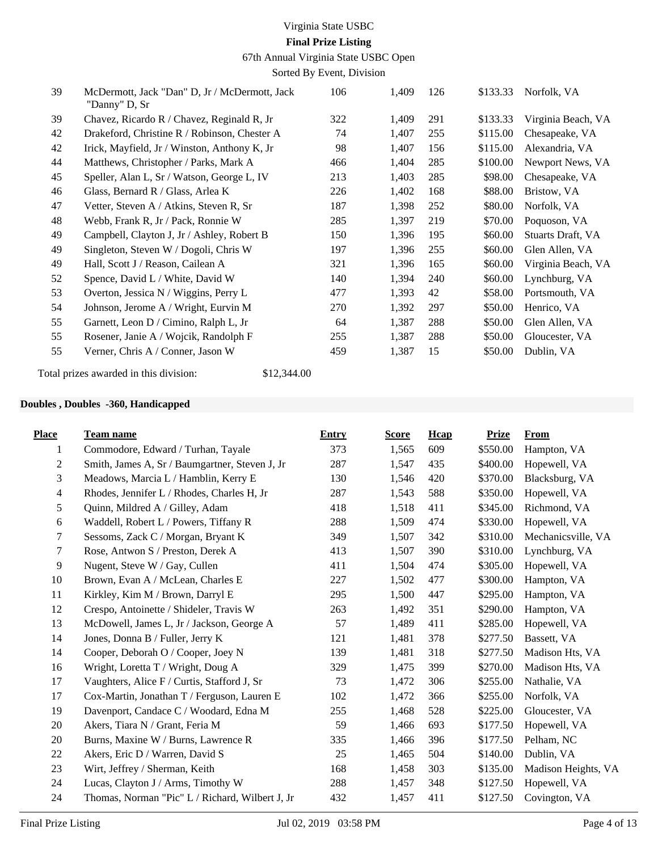67th Annual Virginia State USBC Open

Sorted By Event, Division

| 39 | McDermott, Jack "Dan" D, Jr / McDermott, Jack<br>"Danny" D, Sr | 106 | 1,409 | 126 | \$133.33 | Norfolk, VA        |
|----|----------------------------------------------------------------|-----|-------|-----|----------|--------------------|
| 39 | Chavez, Ricardo R / Chavez, Reginald R, Jr                     | 322 | 1,409 | 291 | \$133.33 | Virginia Beach, VA |
| 42 | Drakeford, Christine R / Robinson, Chester A                   | 74  | 1,407 | 255 | \$115.00 | Chesapeake, VA     |
| 42 | Irick, Mayfield, Jr / Winston, Anthony K, Jr                   | 98  | 1,407 | 156 | \$115.00 | Alexandria, VA     |
| 44 | Matthews, Christopher / Parks, Mark A                          | 466 | 1,404 | 285 | \$100.00 | Newport News, VA   |
| 45 | Speller, Alan L, Sr / Watson, George L, IV                     | 213 | 1,403 | 285 | \$98.00  | Chesapeake, VA     |
| 46 | Glass, Bernard R / Glass, Arlea K                              | 226 | 1,402 | 168 | \$88.00  | Bristow, VA        |
| 47 | Vetter, Steven A / Atkins, Steven R, Sr                        | 187 | 1,398 | 252 | \$80.00  | Norfolk, VA        |
| 48 | Webb, Frank R, Jr / Pack, Ronnie W                             | 285 | 1,397 | 219 | \$70.00  | Poquoson, VA       |
| 49 | Campbell, Clayton J, Jr / Ashley, Robert B                     | 150 | 1,396 | 195 | \$60.00  | Stuarts Draft, VA  |
| 49 | Singleton, Steven W / Dogoli, Chris W                          | 197 | 1,396 | 255 | \$60.00  | Glen Allen, VA     |
| 49 | Hall, Scott J / Reason, Cailean A                              | 321 | 1,396 | 165 | \$60.00  | Virginia Beach, VA |
| 52 | Spence, David L / White, David W                               | 140 | 1,394 | 240 | \$60.00  | Lynchburg, VA      |
| 53 | Overton, Jessica N / Wiggins, Perry L                          | 477 | 1,393 | 42  | \$58.00  | Portsmouth, VA     |
| 54 | Johnson, Jerome A / Wright, Eurvin M                           | 270 | 1,392 | 297 | \$50.00  | Henrico, VA        |
| 55 | Garnett, Leon D / Cimino, Ralph L, Jr                          | 64  | 1,387 | 288 | \$50.00  | Glen Allen, VA     |
| 55 | Rosener, Janie A / Wojcik, Randolph F                          | 255 | 1,387 | 288 | \$50.00  | Gloucester, VA     |
| 55 | Verner, Chris A / Conner, Jason W                              | 459 | 1,387 | 15  | \$50.00  | Dublin, VA         |

Total prizes awarded in this division: \$12,344.00

## **Doubles , Doubles -360, Handicapped**

| <b>Team name</b>                                | <b>Entry</b> | <b>Score</b> | Hcap | <b>Prize</b> | <b>From</b>         |
|-------------------------------------------------|--------------|--------------|------|--------------|---------------------|
| Commodore, Edward / Turhan, Tayale              | 373          | 1,565        | 609  | \$550.00     | Hampton, VA         |
| Smith, James A, Sr / Baumgartner, Steven J, Jr  | 287          | 1,547        | 435  | \$400.00     | Hopewell, VA        |
| Meadows, Marcia L / Hamblin, Kerry E            | 130          | 1,546        | 420  | \$370.00     | Blacksburg, VA      |
| Rhodes, Jennifer L / Rhodes, Charles H, Jr      | 287          | 1,543        | 588  | \$350.00     | Hopewell, VA        |
| Quinn, Mildred A / Gilley, Adam                 | 418          | 1,518        | 411  | \$345.00     | Richmond, VA        |
| Waddell, Robert L / Powers, Tiffany R           | 288          | 1,509        | 474  | \$330.00     | Hopewell, VA        |
| Sessoms, Zack C / Morgan, Bryant K              | 349          | 1,507        | 342  | \$310.00     | Mechanicsville, VA  |
| Rose, Antwon S / Preston, Derek A               | 413          | 1,507        | 390  | \$310.00     | Lynchburg, VA       |
| Nugent, Steve W / Gay, Cullen                   | 411          | 1,504        | 474  | \$305.00     | Hopewell, VA        |
| Brown, Evan A / McLean, Charles E               | 227          | 1,502        | 477  | \$300.00     | Hampton, VA         |
| Kirkley, Kim M / Brown, Darryl E                | 295          | 1,500        | 447  | \$295.00     | Hampton, VA         |
| Crespo, Antoinette / Shideler, Travis W         | 263          | 1,492        | 351  | \$290.00     | Hampton, VA         |
| McDowell, James L, Jr / Jackson, George A       | 57           | 1,489        | 411  | \$285.00     | Hopewell, VA        |
| Jones, Donna B / Fuller, Jerry K                | 121          | 1,481        | 378  | \$277.50     | Bassett, VA         |
| Cooper, Deborah O / Cooper, Joey N              | 139          | 1,481        | 318  | \$277.50     | Madison Hts, VA     |
| Wright, Loretta T / Wright, Doug A              | 329          | 1,475        | 399  | \$270.00     | Madison Hts, VA     |
| Vaughters, Alice F / Curtis, Stafford J, Sr     | 73           | 1,472        | 306  | \$255.00     | Nathalie, VA        |
| Cox-Martin, Jonathan T / Ferguson, Lauren E     | 102          | 1,472        | 366  | \$255.00     | Norfolk, VA         |
| Davenport, Candace C / Woodard, Edna M          | 255          | 1,468        | 528  | \$225.00     | Gloucester, VA      |
| Akers, Tiara N / Grant, Feria M                 | 59           | 1,466        | 693  | \$177.50     | Hopewell, VA        |
| Burns, Maxine W / Burns, Lawrence R             | 335          | 1,466        | 396  | \$177.50     | Pelham, NC          |
| Akers, Eric D / Warren, David S                 | 25           | 1,465        | 504  | \$140.00     | Dublin, VA          |
| Wirt, Jeffrey / Sherman, Keith                  | 168          | 1,458        | 303  | \$135.00     | Madison Heights, VA |
| Lucas, Clayton J / Arms, Timothy W              | 288          | 1,457        | 348  | \$127.50     | Hopewell, VA        |
| Thomas, Norman "Pic" L / Richard, Wilbert J, Jr | 432          | 1,457        | 411  | \$127.50     | Covington, VA       |
|                                                 |              |              |      |              |                     |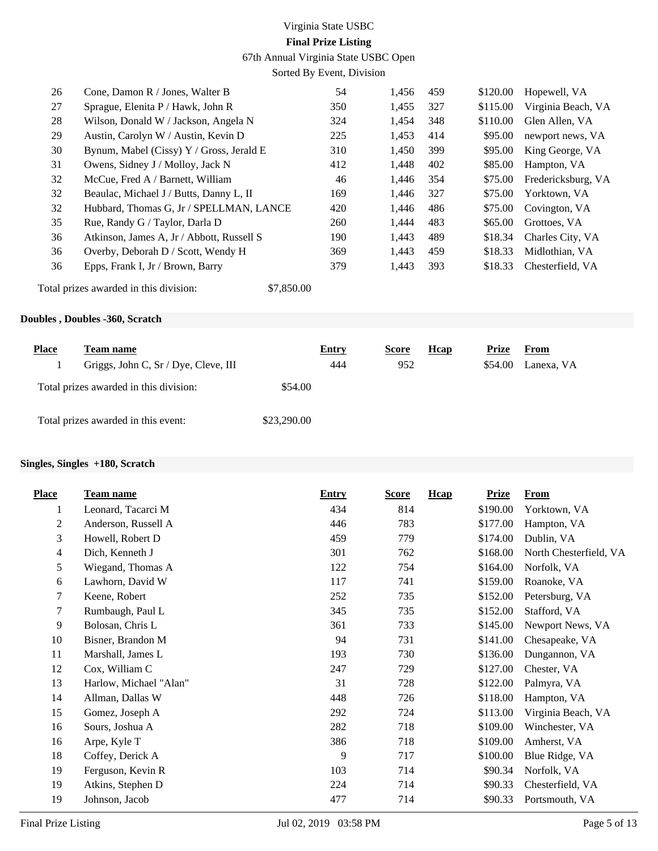67th Annual Virginia State USBC Open

Sorted By Event, Division

| 26 | Cone, Damon $R /$ Jones, Walter B         | 54  | 1,456 | 459 | \$120.00 | Hopewell, VA       |
|----|-------------------------------------------|-----|-------|-----|----------|--------------------|
| 27 | Sprague, Elenita P / Hawk, John R         | 350 | 1,455 | 327 | \$115.00 | Virginia Beach, VA |
| 28 | Wilson, Donald W / Jackson, Angela N      | 324 | 1,454 | 348 | \$110.00 | Glen Allen, VA     |
| 29 | Austin, Carolyn W / Austin, Kevin D       | 225 | 1,453 | 414 | \$95.00  | newport news, VA   |
| 30 | Bynum, Mabel (Cissy) Y / Gross, Jerald E  | 310 | 1,450 | 399 | \$95.00  | King George, VA    |
| 31 | Owens, Sidney J / Molloy, Jack N          | 412 | 1,448 | 402 | \$85.00  | Hampton, VA        |
| 32 | McCue, Fred A / Barnett, William          | 46  | 1.446 | 354 | \$75.00  | Fredericksburg, VA |
| 32 | Beaulac, Michael J / Butts, Danny L, II   | 169 | 1,446 | 327 | \$75.00  | Yorktown, VA       |
| 32 | Hubbard, Thomas G, Jr / SPELLMAN, LANCE   | 420 | 1,446 | 486 | \$75.00  | Covington, VA      |
| 35 | Rue, Randy G / Taylor, Darla D            | 260 | 1,444 | 483 | \$65.00  | Grottoes, VA       |
| 36 | Atkinson, James A, Jr / Abbott, Russell S | 190 | 1,443 | 489 | \$18.34  | Charles City, VA   |
| 36 | Overby, Deborah D / Scott, Wendy H        | 369 | 1,443 | 459 | \$18.33  | Midlothian, VA     |
| 36 | Epps, Frank I, Jr / Brown, Barry          | 379 | 1,443 | 393 | \$18.33  | Chesterfield, VA   |
|    |                                           |     |       |     |          |                    |

Total prizes awarded in this division: \$7,850.00

## **Doubles , Doubles -360, Scratch**

| <b>Place</b> | <b>l'eam name</b>                      |             | <b>Entry</b> | <b>Score</b> | Hcap | Prize   | From       |
|--------------|----------------------------------------|-------------|--------------|--------------|------|---------|------------|
|              | Griggs, John C, Sr / Dye, Cleve, III   |             | 444          | 952          |      | \$54.00 | Lanexa, VA |
|              | Total prizes awarded in this division: | \$54.00     |              |              |      |         |            |
|              | Total prizes awarded in this event:    | \$23,290.00 |              |              |      |         |            |

## **Singles, Singles +180, Scratch**

| <b>Place</b> | Team name              | <b>Entry</b> | <b>Score</b> | Hcap<br><b>Prize</b> | <b>From</b>            |
|--------------|------------------------|--------------|--------------|----------------------|------------------------|
| 1            | Leonard, Tacarci M     | 434          | 814          | \$190.00             | Yorktown, VA           |
| 2            | Anderson, Russell A    | 446          | 783          | \$177.00             | Hampton, VA            |
| 3            | Howell, Robert D       | 459          | 779          | \$174.00             | Dublin, VA             |
| 4            | Dich, Kenneth J        | 301          | 762          | \$168.00             | North Chesterfield, VA |
| 5            | Wiegand, Thomas A      | 122          | 754          | \$164.00             | Norfolk, VA            |
| 6            | Lawhorn, David W       | 117          | 741          | \$159.00             | Roanoke, VA            |
| 7            | Keene, Robert          | 252          | 735          | \$152.00             | Petersburg, VA         |
| 7            | Rumbaugh, Paul L       | 345          | 735          | \$152.00             | Stafford, VA           |
| 9            | Bolosan, Chris L       | 361          | 733          | \$145.00             | Newport News, VA       |
| 10           | Bisner, Brandon M      | 94           | 731          | \$141.00             | Chesapeake, VA         |
| 11           | Marshall, James L      | 193          | 730          | \$136.00             | Dungannon, VA          |
| 12           | Cox, William C         | 247          | 729          | \$127.00             | Chester, VA            |
| 13           | Harlow, Michael "Alan" | 31           | 728          | \$122.00             | Palmyra, VA            |
| 14           | Allman, Dallas W       | 448          | 726          | \$118.00             | Hampton, VA            |
| 15           | Gomez, Joseph A        | 292          | 724          | \$113.00             | Virginia Beach, VA     |
| 16           | Sours, Joshua A        | 282          | 718          | \$109.00             | Winchester, VA         |
| 16           | Arpe, Kyle T           | 386          | 718          | \$109.00             | Amherst, VA            |
| 18           | Coffey, Derick A       | 9            | 717          | \$100.00             | Blue Ridge, VA         |
| 19           | Ferguson, Kevin R      | 103          | 714          | \$90.34              | Norfolk, VA            |
| 19           | Atkins, Stephen D      | 224          | 714          | \$90.33              | Chesterfield, VA       |
| 19           | Johnson, Jacob         | 477          | 714          | \$90.33              | Portsmouth, VA         |
|              |                        |              |              |                      |                        |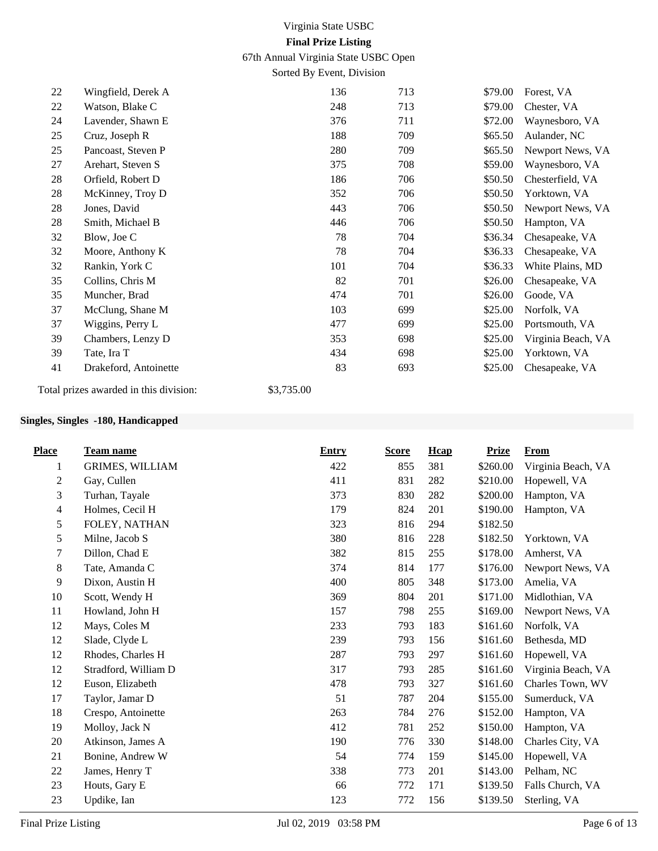67th Annual Virginia State USBC Open

Sorted By Event, Division

| 22 | Wingfield, Derek A    | 136 | 713 | \$79.00 | Forest, VA         |
|----|-----------------------|-----|-----|---------|--------------------|
| 22 | Watson, Blake C       | 248 | 713 | \$79.00 | Chester, VA        |
| 24 | Lavender, Shawn E     | 376 | 711 | \$72.00 | Waynesboro, VA     |
| 25 | Cruz, Joseph R        | 188 | 709 | \$65.50 | Aulander, NC       |
| 25 | Pancoast, Steven P    | 280 | 709 | \$65.50 | Newport News, VA   |
| 27 | Arehart, Steven S     | 375 | 708 | \$59.00 | Waynesboro, VA     |
| 28 | Orfield, Robert D     | 186 | 706 | \$50.50 | Chesterfield, VA   |
| 28 | McKinney, Troy D      | 352 | 706 | \$50.50 | Yorktown, VA       |
| 28 | Jones, David          | 443 | 706 | \$50.50 | Newport News, VA   |
| 28 | Smith, Michael B      | 446 | 706 | \$50.50 | Hampton, VA        |
| 32 | Blow, Joe C           | 78  | 704 | \$36.34 | Chesapeake, VA     |
| 32 | Moore, Anthony K      | 78  | 704 | \$36.33 | Chesapeake, VA     |
| 32 | Rankin, York C        | 101 | 704 | \$36.33 | White Plains, MD   |
| 35 | Collins, Chris M      | 82  | 701 | \$26.00 | Chesapeake, VA     |
| 35 | Muncher, Brad         | 474 | 701 | \$26.00 | Goode, VA          |
| 37 | McClung, Shane M      | 103 | 699 | \$25.00 | Norfolk, VA        |
| 37 | Wiggins, Perry L      | 477 | 699 | \$25.00 | Portsmouth, VA     |
| 39 | Chambers, Lenzy D     | 353 | 698 | \$25.00 | Virginia Beach, VA |
| 39 | Tate, Ira T           | 434 | 698 | \$25.00 | Yorktown, VA       |
| 41 | Drakeford, Antoinette | 83  | 693 | \$25.00 | Chesapeake, VA     |
|    |                       |     |     |         |                    |

Total prizes awarded in this division: \$3,735.00

## **Singles, Singles -180, Handicapped**

| <b>Place</b>   | <b>Team name</b>       | <b>Entry</b> | <b>Score</b> | Hcap | <b>Prize</b> | <b>From</b>        |
|----------------|------------------------|--------------|--------------|------|--------------|--------------------|
| 1              | <b>GRIMES, WILLIAM</b> | 422          | 855          | 381  | \$260.00     | Virginia Beach, VA |
| $\overline{c}$ | Gay, Cullen            | 411          | 831          | 282  | \$210.00     | Hopewell, VA       |
| 3              | Turhan, Tayale         | 373          | 830          | 282  | \$200.00     | Hampton, VA        |
| 4              | Holmes, Cecil H        | 179          | 824          | 201  | \$190.00     | Hampton, VA        |
| 5              | FOLEY, NATHAN          | 323          | 816          | 294  | \$182.50     |                    |
| 5              | Milne, Jacob S         | 380          | 816          | 228  | \$182.50     | Yorktown, VA       |
| 7              | Dillon, Chad E         | 382          | 815          | 255  | \$178.00     | Amherst, VA        |
| 8              | Tate, Amanda C         | 374          | 814          | 177  | \$176.00     | Newport News, VA   |
| 9              | Dixon, Austin H        | 400          | 805          | 348  | \$173.00     | Amelia, VA         |
| 10             | Scott, Wendy H         | 369          | 804          | 201  | \$171.00     | Midlothian, VA     |
| 11             | Howland, John H        | 157          | 798          | 255  | \$169.00     | Newport News, VA   |
| 12             | Mays, Coles M          | 233          | 793          | 183  | \$161.60     | Norfolk, VA        |
| 12             | Slade, Clyde L         | 239          | 793          | 156  | \$161.60     | Bethesda, MD       |
| 12             | Rhodes, Charles H      | 287          | 793          | 297  | \$161.60     | Hopewell, VA       |
| 12             | Stradford, William D   | 317          | 793          | 285  | \$161.60     | Virginia Beach, VA |
| 12             | Euson, Elizabeth       | 478          | 793          | 327  | \$161.60     | Charles Town, WV   |
| 17             | Taylor, Jamar D        | 51           | 787          | 204  | \$155.00     | Sumerduck, VA      |
| 18             | Crespo, Antoinette     | 263          | 784          | 276  | \$152.00     | Hampton, VA        |
| 19             | Molloy, Jack N         | 412          | 781          | 252  | \$150.00     | Hampton, VA        |
| 20             | Atkinson, James A      | 190          | 776          | 330  | \$148.00     | Charles City, VA   |
| 21             | Bonine, Andrew W       | 54           | 774          | 159  | \$145.00     | Hopewell, VA       |
| 22             | James, Henry T         | 338          | 773          | 201  | \$143.00     | Pelham, NC         |
| 23             | Houts, Gary E          | 66           | 772          | 171  | \$139.50     | Falls Church, VA   |
| 23             | Updike, Ian            | 123          | 772          | 156  | \$139.50     | Sterling, VA       |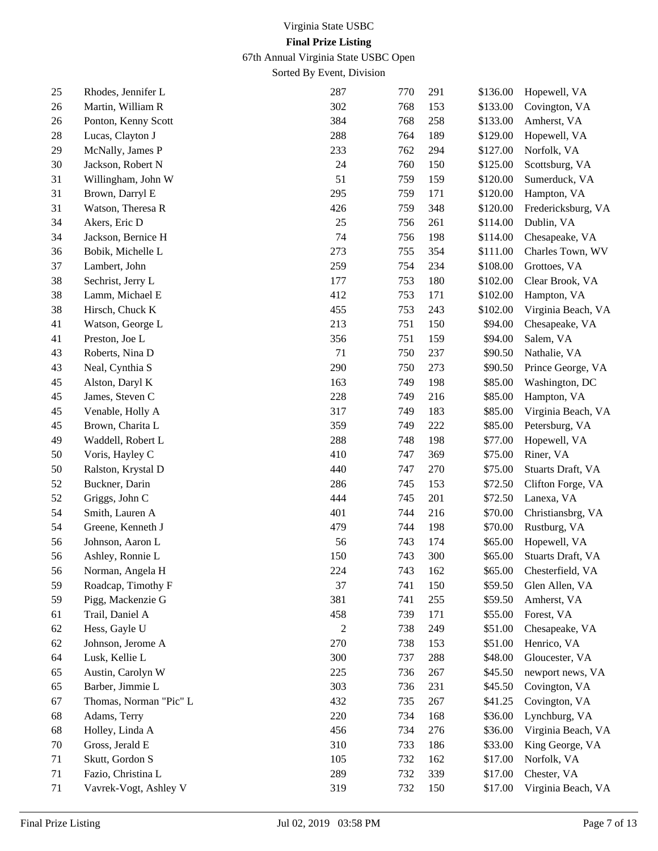67th Annual Virginia State USBC Open

Sorted By Event, Division

| 25 | Rhodes, Jennifer L     | 287              | 770 | 291 | \$136.00 | Hopewell, VA       |
|----|------------------------|------------------|-----|-----|----------|--------------------|
| 26 | Martin, William R      | 302              | 768 | 153 | \$133.00 | Covington, VA      |
| 26 | Ponton, Kenny Scott    | 384              | 768 | 258 | \$133.00 | Amherst, VA        |
| 28 | Lucas, Clayton J       | 288              | 764 | 189 | \$129.00 | Hopewell, VA       |
| 29 | McNally, James P       | 233              | 762 | 294 | \$127.00 | Norfolk, VA        |
| 30 | Jackson, Robert N      | 24               | 760 | 150 | \$125.00 | Scottsburg, VA     |
| 31 | Willingham, John W     | 51               | 759 | 159 | \$120.00 | Sumerduck, VA      |
| 31 | Brown, Darryl E        | 295              | 759 | 171 | \$120.00 | Hampton, VA        |
| 31 | Watson, Theresa R      | 426              | 759 | 348 | \$120.00 | Fredericksburg, VA |
| 34 | Akers, Eric D          | 25               | 756 | 261 | \$114.00 | Dublin, VA         |
| 34 | Jackson, Bernice H     | 74               | 756 | 198 | \$114.00 | Chesapeake, VA     |
| 36 | Bobik, Michelle L      | 273              | 755 | 354 | \$111.00 | Charles Town, WV   |
| 37 | Lambert, John          | 259              | 754 | 234 | \$108.00 | Grottoes, VA       |
| 38 | Sechrist, Jerry L      | 177              | 753 | 180 | \$102.00 | Clear Brook, VA    |
| 38 | Lamm, Michael E        | 412              | 753 | 171 | \$102.00 | Hampton, VA        |
| 38 | Hirsch, Chuck K        | 455              | 753 | 243 | \$102.00 | Virginia Beach, VA |
| 41 | Watson, George L       | 213              | 751 | 150 | \$94.00  | Chesapeake, VA     |
| 41 | Preston, Joe L         | 356              | 751 | 159 | \$94.00  | Salem, VA          |
| 43 | Roberts, Nina D        | 71               | 750 | 237 | \$90.50  | Nathalie, VA       |
| 43 | Neal, Cynthia S        | 290              | 750 | 273 | \$90.50  | Prince George, VA  |
| 45 | Alston, Daryl K        | 163              | 749 | 198 | \$85.00  | Washington, DC     |
| 45 | James, Steven C        | 228              | 749 | 216 | \$85.00  | Hampton, VA        |
| 45 | Venable, Holly A       | 317              | 749 | 183 | \$85.00  | Virginia Beach, VA |
| 45 | Brown, Charita L       | 359              | 749 | 222 | \$85.00  | Petersburg, VA     |
| 49 | Waddell, Robert L      | 288              | 748 | 198 | \$77.00  | Hopewell, VA       |
| 50 | Voris, Hayley C        | 410              | 747 | 369 | \$75.00  | Riner, VA          |
| 50 | Ralston, Krystal D     | 440              | 747 | 270 | \$75.00  | Stuarts Draft, VA  |
| 52 | Buckner, Darin         | 286              | 745 | 153 | \$72.50  | Clifton Forge, VA  |
| 52 | Griggs, John C         | 444              | 745 | 201 | \$72.50  | Lanexa, VA         |
| 54 | Smith, Lauren A        | 401              | 744 | 216 | \$70.00  | Christiansbrg, VA  |
| 54 | Greene, Kenneth J      | 479              | 744 | 198 | \$70.00  | Rustburg, VA       |
| 56 | Johnson, Aaron L       | 56               | 743 | 174 | \$65.00  | Hopewell, VA       |
| 56 | Ashley, Ronnie L       | 150              | 743 | 300 | \$65.00  | Stuarts Draft, VA  |
| 56 | Norman, Angela H       | 224              | 743 | 162 | \$65.00  | Chesterfield, VA   |
| 59 | Roadcap, Timothy F     | 37               | 741 | 150 | \$59.50  | Glen Allen, VA     |
| 59 | Pigg, Mackenzie G      | 381              | 741 | 255 | \$59.50  | Amherst, VA        |
| 61 | Trail, Daniel A        | 458              | 739 | 171 | \$55.00  | Forest, VA         |
| 62 | Hess, Gayle U          | $\boldsymbol{2}$ | 738 | 249 | \$51.00  | Chesapeake, VA     |
| 62 | Johnson, Jerome A      | 270              | 738 | 153 | \$51.00  | Henrico, VA        |
| 64 | Lusk, Kellie L         | 300              | 737 | 288 | \$48.00  | Gloucester, VA     |
| 65 | Austin, Carolyn W      | 225              | 736 | 267 | \$45.50  | newport news, VA   |
| 65 | Barber, Jimmie L       | 303              | 736 | 231 | \$45.50  | Covington, VA      |
| 67 | Thomas, Norman "Pic" L | 432              | 735 | 267 | \$41.25  | Covington, VA      |
| 68 | Adams, Terry           | 220              | 734 | 168 | \$36.00  | Lynchburg, VA      |
| 68 | Holley, Linda A        | 456              | 734 | 276 | \$36.00  | Virginia Beach, VA |
| 70 | Gross, Jerald E        | 310              | 733 | 186 | \$33.00  | King George, VA    |
| 71 | Skutt, Gordon S        | 105              | 732 | 162 | \$17.00  | Norfolk, VA        |
| 71 | Fazio, Christina L     | 289              | 732 | 339 | \$17.00  | Chester, VA        |
| 71 | Vavrek-Vogt, Ashley V  | 319              | 732 | 150 | \$17.00  | Virginia Beach, VA |
|    |                        |                  |     |     |          |                    |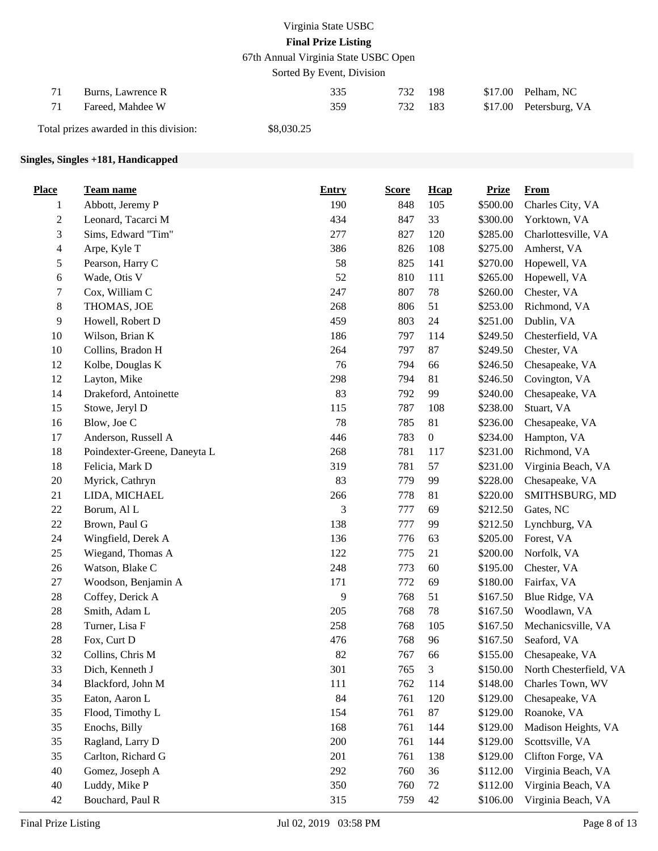67th Annual Virginia State USBC Open

Sorted By Event, Division

| Burns, Lawrence R | 335 | 732     | 198 | $$17.00$ Pelham, NC    |
|-------------------|-----|---------|-----|------------------------|
| Fareed. Mahdee W  | 359 | 732 183 |     | \$17.00 Petersburg, VA |

Total prizes awarded in this division: \$8,030.25

## **Singles, Singles +181, Handicapped**

| <b>Place</b>     | Team name                    | <b>Entry</b> | <b>Score</b> | Hcap             | <b>Prize</b> | <b>From</b>            |
|------------------|------------------------------|--------------|--------------|------------------|--------------|------------------------|
| $\mathbf{1}$     | Abbott, Jeremy P             | 190          | 848          | 105              | \$500.00     | Charles City, VA       |
| $\boldsymbol{2}$ | Leonard, Tacarci M           | 434          | 847          | 33               | \$300.00     | Yorktown, VA           |
| 3                | Sims, Edward "Tim"           | 277          | 827          | 120              | \$285.00     | Charlottesville, VA    |
| 4                | Arpe, Kyle T                 | 386          | 826          | 108              | \$275.00     | Amherst, VA            |
| 5                | Pearson, Harry C             | 58           | 825          | 141              | \$270.00     | Hopewell, VA           |
| 6                | Wade, Otis V                 | 52           | 810          | 111              | \$265.00     | Hopewell, VA           |
| 7                | Cox, William C               | 247          | 807          | 78               | \$260.00     | Chester, VA            |
| $8\,$            | THOMAS, JOE                  | 268          | 806          | 51               | \$253.00     | Richmond, VA           |
| 9                | Howell, Robert D             | 459          | 803          | 24               | \$251.00     | Dublin, VA             |
| $10\,$           | Wilson, Brian K              | 186          | 797          | 114              | \$249.50     | Chesterfield, VA       |
| 10               | Collins, Bradon H            | 264          | 797          | 87               | \$249.50     | Chester, VA            |
| 12               | Kolbe, Douglas K             | 76           | 794          | 66               | \$246.50     | Chesapeake, VA         |
| 12               | Layton, Mike                 | 298          | 794          | 81               | \$246.50     | Covington, VA          |
| 14               | Drakeford, Antoinette        | 83           | 792          | 99               | \$240.00     | Chesapeake, VA         |
| 15               | Stowe, Jeryl D               | 115          | 787          | 108              | \$238.00     | Stuart, VA             |
| 16               | Blow, Joe C                  | 78           | 785          | 81               | \$236.00     | Chesapeake, VA         |
| 17               | Anderson, Russell A          | 446          | 783          | $\boldsymbol{0}$ | \$234.00     | Hampton, VA            |
| 18               | Poindexter-Greene, Daneyta L | 268          | 781          | 117              | \$231.00     | Richmond, VA           |
| 18               | Felicia, Mark D              | 319          | 781          | 57               | \$231.00     | Virginia Beach, VA     |
| 20               | Myrick, Cathryn              | 83           | 779          | 99               | \$228.00     | Chesapeake, VA         |
| 21               | LIDA, MICHAEL                | 266          | 778          | 81               | \$220.00     | SMITHSBURG, MD         |
| 22               | Borum, Al L                  | 3            | 777          | 69               | \$212.50     | Gates, NC              |
| 22               | Brown, Paul G                | 138          | 777          | 99               | \$212.50     | Lynchburg, VA          |
| 24               | Wingfield, Derek A           | 136          | 776          | 63               | \$205.00     | Forest, VA             |
| 25               | Wiegand, Thomas A            | 122          | 775          | 21               | \$200.00     | Norfolk, VA            |
| 26               | Watson, Blake C              | 248          | 773          | 60               | \$195.00     | Chester, VA            |
| $27\,$           | Woodson, Benjamin A          | 171          | 772          | 69               | \$180.00     | Fairfax, VA            |
| 28               | Coffey, Derick A             | 9            | 768          | 51               | \$167.50     | Blue Ridge, VA         |
| 28               | Smith, Adam L                | 205          | 768          | 78               | \$167.50     | Woodlawn, VA           |
| 28               | Turner, Lisa F               | 258          | 768          | 105              | \$167.50     | Mechanicsville, VA     |
| 28               | Fox, Curt D                  | 476          | 768          | 96               | \$167.50     | Seaford, VA            |
| 32               | Collins, Chris M             | 82           | 767          | 66               | \$155.00     | Chesapeake, VA         |
| 33               | Dich, Kenneth J              | 301          | 765          | $\mathfrak 3$    | \$150.00     | North Chesterfield, VA |
| 34               | Blackford, John M            | 111          | 762          | 114              | \$148.00     | Charles Town, WV       |
| 35               | Eaton, Aaron L               | 84           | 761          | 120              | \$129.00     | Chesapeake, VA         |
| 35               | Flood, Timothy L             | 154          | 761          | 87               | \$129.00     | Roanoke, VA            |
| 35               | Enochs, Billy                | 168          | 761          | 144              | \$129.00     | Madison Heights, VA    |
| 35               | Ragland, Larry D             | 200          | 761          | 144              | \$129.00     | Scottsville, VA        |
| 35               | Carlton, Richard G           | 201          | 761          | 138              | \$129.00     | Clifton Forge, VA      |
| 40               | Gomez, Joseph A              | 292          | 760          | 36               | \$112.00     | Virginia Beach, VA     |
| 40               | Luddy, Mike P                | 350          | 760          | 72               | \$112.00     | Virginia Beach, VA     |
| 42               | Bouchard, Paul R             | 315          | 759          | 42               | \$106.00     | Virginia Beach, VA     |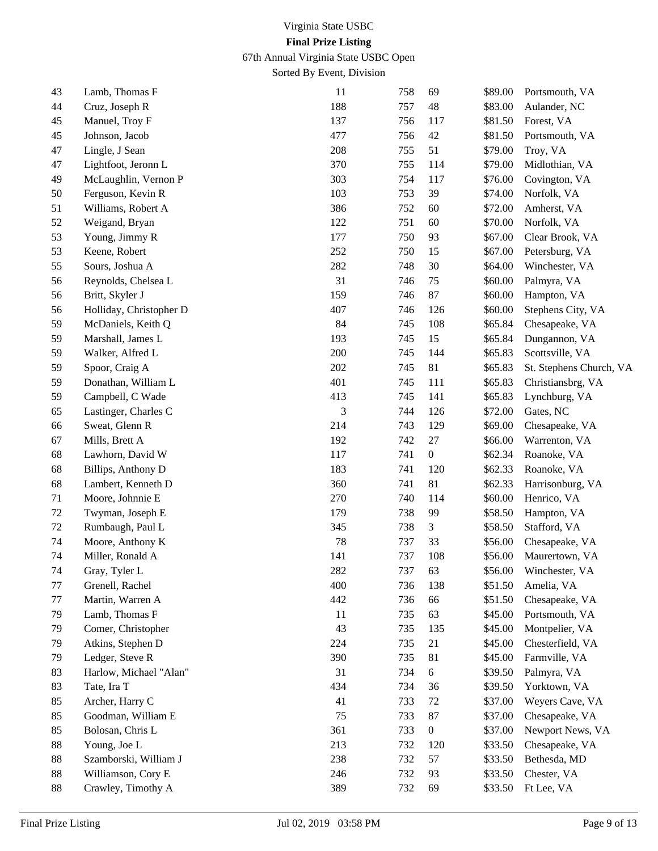67th Annual Virginia State USBC Open

Sorted By Event, Division

| 43 | Lamb, Thomas F          | 11  | 758 | 69               | \$89.00 | Portsmouth, VA          |
|----|-------------------------|-----|-----|------------------|---------|-------------------------|
| 44 | Cruz, Joseph R          | 188 | 757 | 48               | \$83.00 | Aulander, NC            |
| 45 | Manuel, Troy F          | 137 | 756 | 117              | \$81.50 | Forest, VA              |
| 45 | Johnson, Jacob          | 477 | 756 | 42               | \$81.50 | Portsmouth, VA          |
| 47 | Lingle, J Sean          | 208 | 755 | 51               | \$79.00 | Troy, VA                |
| 47 | Lightfoot, Jeronn L     | 370 | 755 | 114              | \$79.00 | Midlothian, VA          |
| 49 | McLaughlin, Vernon P    | 303 | 754 | 117              | \$76.00 | Covington, VA           |
| 50 | Ferguson, Kevin R       | 103 | 753 | 39               | \$74.00 | Norfolk, VA             |
| 51 | Williams, Robert A      | 386 | 752 | 60               | \$72.00 | Amherst, VA             |
| 52 | Weigand, Bryan          | 122 | 751 | 60               | \$70.00 | Norfolk, VA             |
| 53 | Young, Jimmy R          | 177 | 750 | 93               | \$67.00 | Clear Brook, VA         |
| 53 | Keene, Robert           | 252 | 750 | 15               | \$67.00 | Petersburg, VA          |
| 55 | Sours, Joshua A         | 282 | 748 | 30               | \$64.00 | Winchester, VA          |
| 56 | Reynolds, Chelsea L     | 31  | 746 | 75               | \$60.00 | Palmyra, VA             |
| 56 | Britt, Skyler J         | 159 | 746 | 87               | \$60.00 | Hampton, VA             |
| 56 | Holliday, Christopher D | 407 | 746 | 126              | \$60.00 | Stephens City, VA       |
| 59 | McDaniels, Keith Q      | 84  | 745 | 108              | \$65.84 | Chesapeake, VA          |
| 59 | Marshall, James L       | 193 | 745 | 15               | \$65.84 | Dungannon, VA           |
| 59 | Walker, Alfred L        | 200 | 745 | 144              | \$65.83 | Scottsville, VA         |
| 59 | Spoor, Craig A          | 202 | 745 | 81               | \$65.83 | St. Stephens Church, VA |
| 59 | Donathan, William L     | 401 | 745 | 111              | \$65.83 | Christiansbrg, VA       |
| 59 | Campbell, C Wade        | 413 | 745 | 141              | \$65.83 | Lynchburg, VA           |
| 65 | Lastinger, Charles C    | 3   | 744 | 126              | \$72.00 | Gates, NC               |
| 66 | Sweat, Glenn R          | 214 | 743 | 129              | \$69.00 | Chesapeake, VA          |
| 67 | Mills, Brett A          | 192 | 742 | 27               | \$66.00 | Warrenton, VA           |
| 68 | Lawhorn, David W        | 117 | 741 | $\boldsymbol{0}$ | \$62.34 | Roanoke, VA             |
| 68 | Billips, Anthony D      | 183 | 741 | 120              | \$62.33 | Roanoke, VA             |
| 68 | Lambert, Kenneth D      | 360 | 741 | 81               | \$62.33 | Harrisonburg, VA        |
| 71 | Moore, Johnnie E        | 270 | 740 | 114              | \$60.00 | Henrico, VA             |
| 72 | Twyman, Joseph E        | 179 | 738 | 99               | \$58.50 | Hampton, VA             |
| 72 | Rumbaugh, Paul L        | 345 | 738 | 3                | \$58.50 | Stafford, VA            |
| 74 | Moore, Anthony K        | 78  | 737 | 33               | \$56.00 | Chesapeake, VA          |
| 74 | Miller, Ronald A        | 141 | 737 | 108              | \$56.00 | Maurertown, VA          |
| 74 | Gray, Tyler L           | 282 | 737 | 63               | \$56.00 | Winchester, VA          |
| 77 | Grenell, Rachel         | 400 | 736 | 138              | \$51.50 | Amelia, VA              |
| 77 | Martin, Warren A        | 442 | 736 | 66               | \$51.50 | Chesapeake, VA          |
| 79 | Lamb, Thomas F          | 11  | 735 | 63               | \$45.00 | Portsmouth, VA          |
| 79 | Comer, Christopher      | 43  | 735 | 135              | \$45.00 | Montpelier, VA          |
| 79 | Atkins, Stephen D       | 224 | 735 | 21               | \$45.00 | Chesterfield, VA        |
| 79 | Ledger, Steve R         | 390 | 735 | 81               | \$45.00 | Farmville, VA           |
| 83 | Harlow, Michael "Alan"  | 31  | 734 | 6                | \$39.50 | Palmyra, VA             |
| 83 | Tate, Ira T             | 434 | 734 | 36               | \$39.50 | Yorktown, VA            |
| 85 | Archer, Harry C         | 41  | 733 | 72               | \$37.00 | Weyers Cave, VA         |
| 85 | Goodman, William E      | 75  | 733 | 87               | \$37.00 | Chesapeake, VA          |
| 85 | Bolosan, Chris L        | 361 | 733 | $\boldsymbol{0}$ | \$37.00 | Newport News, VA        |
| 88 | Young, Joe L            | 213 | 732 | 120              | \$33.50 | Chesapeake, VA          |
| 88 | Szamborski, William J   | 238 | 732 | 57               | \$33.50 | Bethesda, MD            |
| 88 | Williamson, Cory E      | 246 | 732 | 93               | \$33.50 | Chester, VA             |
| 88 | Crawley, Timothy A      | 389 | 732 | 69               | \$33.50 | Ft Lee, VA              |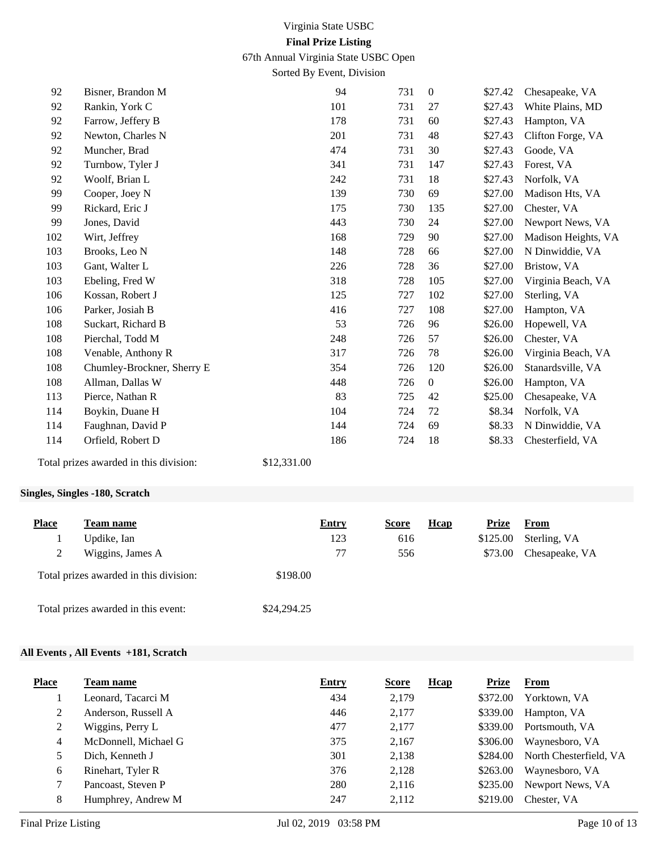67th Annual Virginia State USBC Open

Sorted By Event, Division

| 92  | Bisner, Brandon M                      |             | 94  | 731 | $\boldsymbol{0}$ | \$27.42 | Chesapeake, VA      |
|-----|----------------------------------------|-------------|-----|-----|------------------|---------|---------------------|
| 92  | Rankin, York C                         |             | 101 | 731 | 27               | \$27.43 | White Plains, MD    |
| 92  | Farrow, Jeffery B                      |             | 178 | 731 | 60               | \$27.43 | Hampton, VA         |
| 92  | Newton, Charles N                      |             | 201 | 731 | 48               | \$27.43 | Clifton Forge, VA   |
| 92  | Muncher, Brad                          |             | 474 | 731 | 30               | \$27.43 | Goode, VA           |
| 92  | Turnbow, Tyler J                       |             | 341 | 731 | 147              | \$27.43 | Forest, VA          |
| 92  | Woolf, Brian L                         |             | 242 | 731 | 18               | \$27.43 | Norfolk, VA         |
| 99  | Cooper, Joey N                         |             | 139 | 730 | 69               | \$27.00 | Madison Hts, VA     |
| 99  | Rickard, Eric J                        |             | 175 | 730 | 135              | \$27.00 | Chester, VA         |
| 99  | Jones, David                           |             | 443 | 730 | 24               | \$27.00 | Newport News, VA    |
| 102 | Wirt, Jeffrey                          |             | 168 | 729 | 90               | \$27.00 | Madison Heights, VA |
| 103 | Brooks, Leo N                          |             | 148 | 728 | 66               | \$27.00 | N Dinwiddie, VA     |
| 103 | Gant, Walter L                         |             | 226 | 728 | 36               | \$27.00 | Bristow, VA         |
| 103 | Ebeling, Fred W                        |             | 318 | 728 | 105              | \$27.00 | Virginia Beach, VA  |
| 106 | Kossan, Robert J                       |             | 125 | 727 | 102              | \$27.00 | Sterling, VA        |
| 106 | Parker, Josiah B                       |             | 416 | 727 | 108              | \$27.00 | Hampton, VA         |
| 108 | Suckart, Richard B                     |             | 53  | 726 | 96               | \$26.00 | Hopewell, VA        |
| 108 | Pierchal, Todd M                       |             | 248 | 726 | 57               | \$26.00 | Chester, VA         |
| 108 | Venable, Anthony R                     |             | 317 | 726 | 78               | \$26.00 | Virginia Beach, VA  |
| 108 | Chumley-Brockner, Sherry E             |             | 354 | 726 | 120              | \$26.00 | Stanardsville, VA   |
| 108 | Allman, Dallas W                       |             | 448 | 726 | $\boldsymbol{0}$ | \$26.00 | Hampton, VA         |
| 113 | Pierce, Nathan R                       |             | 83  | 725 | 42               | \$25.00 | Chesapeake, VA      |
| 114 | Boykin, Duane H                        |             | 104 | 724 | 72               | \$8.34  | Norfolk, VA         |
| 114 | Faughnan, David P                      |             | 144 | 724 | 69               | \$8.33  | N Dinwiddie, VA     |
| 114 | Orfield, Robert D                      |             | 186 | 724 | 18               | \$8.33  | Chesterfield, VA    |
|     | Total prizes awarded in this division: | \$12,331.00 |     |     |                  |         |                     |
|     |                                        |             |     |     |                  |         |                     |

## **Singles, Singles -180, Scratch**

| <b>Place</b> | Team name                              | Entry       | Score | Hcap | Prize    | From           |
|--------------|----------------------------------------|-------------|-------|------|----------|----------------|
|              | Updike, Ian                            | 123         | 616   |      | \$125.00 | Sterling, VA   |
| 2            | Wiggins, James A                       | 77          | 556   |      | \$73.00  | Chesapeake, VA |
|              | Total prizes awarded in this division: | \$198.00    |       |      |          |                |
|              | Total prizes awarded in this event:    | \$24,294.25 |       |      |          |                |

## **All Events , All Events +181, Scratch**

| <b>Place</b> | Team name            | <b>Entry</b> | <b>Score</b> | <b>H</b> cap | <b>Prize</b> | From                   |
|--------------|----------------------|--------------|--------------|--------------|--------------|------------------------|
|              | Leonard, Tacarci M   | 434          | 2,179        |              | \$372.00     | Yorktown, VA           |
| 2            | Anderson, Russell A  | 446          | 2,177        |              | \$339.00     | Hampton, VA            |
| 2            | Wiggins, Perry L     | 477          | 2,177        |              | \$339.00     | Portsmouth, VA         |
| 4            | McDonnell, Michael G | 375          | 2,167        |              | \$306.00     | Waynesboro, VA         |
| 5            | Dich, Kenneth J      | 301          | 2,138        |              | \$284.00     | North Chesterfield, VA |
| 6            | Rinehart, Tyler R    | 376          | 2,128        |              | \$263.00     | Waynesboro, VA         |
| 7            | Pancoast, Steven P   | 280          | 2,116        |              | \$235.00     | Newport News, VA       |
| 8            | Humphrey, Andrew M   | 247          | 2,112        |              | \$219.00     | Chester, VA            |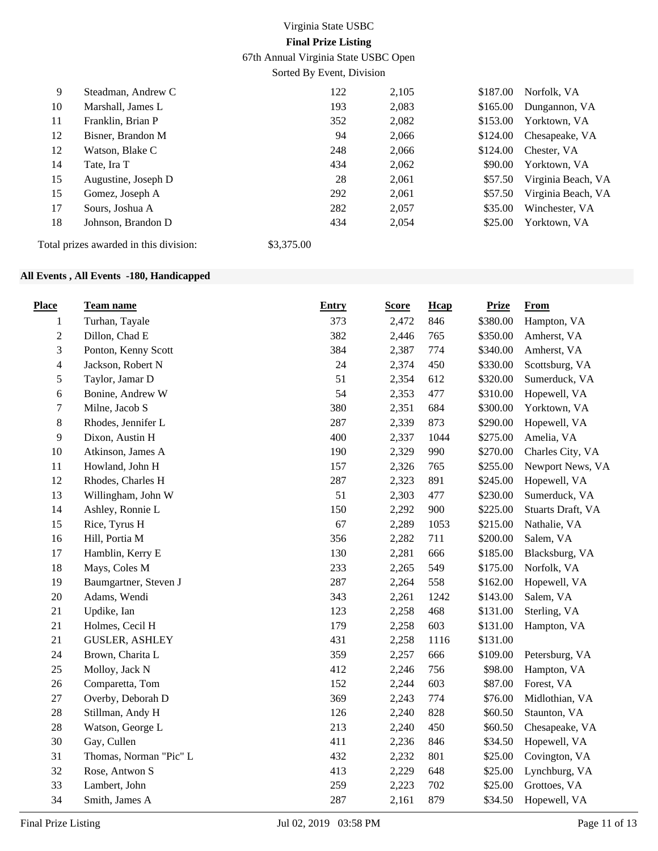67th Annual Virginia State USBC Open

Sorted By Event, Division

| 9  | Steadman, Andrew C  | 122 | 2,105 | \$187.00 | Norfolk, VA        |
|----|---------------------|-----|-------|----------|--------------------|
| 10 | Marshall, James L   | 193 | 2,083 | \$165.00 | Dungannon, VA      |
| 11 | Franklin, Brian P   | 352 | 2,082 | \$153.00 | Yorktown, VA       |
| 12 | Bisner, Brandon M   | 94  | 2,066 | \$124.00 | Chesapeake, VA     |
| 12 | Watson, Blake C     | 248 | 2,066 | \$124.00 | Chester, VA        |
| 14 | Tate, Ira T         | 434 | 2,062 | \$90.00  | Yorktown, VA       |
| 15 | Augustine, Joseph D | 28  | 2,061 | \$57.50  | Virginia Beach, VA |
| 15 | Gomez, Joseph A     | 292 | 2,061 | \$57.50  | Virginia Beach, VA |
| 17 | Sours, Joshua A     | 282 | 2,057 | \$35.00  | Winchester, VA     |
| 18 | Johnson, Brandon D  | 434 | 2,054 | \$25.00  | Yorktown, VA       |
|    |                     |     |       |          |                    |

Total prizes awarded in this division: \$3,375.00

## **All Events , All Events -180, Handicapped**

| <b>Place</b> | Team name              | <b>Entry</b> | <b>Score</b> | Hcap | <b>Prize</b> | <b>From</b>       |
|--------------|------------------------|--------------|--------------|------|--------------|-------------------|
| 1            | Turhan, Tayale         | 373          | 2,472        | 846  | \$380.00     | Hampton, VA       |
| $\sqrt{2}$   | Dillon, Chad E         | 382          | 2,446        | 765  | \$350.00     | Amherst, VA       |
| 3            | Ponton, Kenny Scott    | 384          | 2,387        | 774  | \$340.00     | Amherst, VA       |
| 4            | Jackson, Robert N      | 24           | 2,374        | 450  | \$330.00     | Scottsburg, VA    |
| 5            | Taylor, Jamar D        | 51           | 2,354        | 612  | \$320.00     | Sumerduck, VA     |
| $\epsilon$   | Bonine, Andrew W       | 54           | 2,353        | 477  | \$310.00     | Hopewell, VA      |
| 7            | Milne, Jacob S         | 380          | 2,351        | 684  | \$300.00     | Yorktown, VA      |
| $8\,$        | Rhodes, Jennifer L     | 287          | 2,339        | 873  | \$290.00     | Hopewell, VA      |
| 9            | Dixon, Austin H        | 400          | 2,337        | 1044 | \$275.00     | Amelia, VA        |
| 10           | Atkinson, James A      | 190          | 2,329        | 990  | \$270.00     | Charles City, VA  |
| 11           | Howland, John H        | 157          | 2,326        | 765  | \$255.00     | Newport News, VA  |
| 12           | Rhodes, Charles H      | 287          | 2,323        | 891  | \$245.00     | Hopewell, VA      |
| 13           | Willingham, John W     | 51           | 2,303        | 477  | \$230.00     | Sumerduck, VA     |
| 14           | Ashley, Ronnie L       | 150          | 2,292        | 900  | \$225.00     | Stuarts Draft, VA |
| 15           | Rice, Tyrus H          | 67           | 2,289        | 1053 | \$215.00     | Nathalie, VA      |
| 16           | Hill, Portia M         | 356          | 2,282        | 711  | \$200.00     | Salem, VA         |
| 17           | Hamblin, Kerry E       | 130          | 2,281        | 666  | \$185.00     | Blacksburg, VA    |
| 18           | Mays, Coles M          | 233          | 2,265        | 549  | \$175.00     | Norfolk, VA       |
| 19           | Baumgartner, Steven J  | 287          | 2,264        | 558  | \$162.00     | Hopewell, VA      |
| $20\,$       | Adams, Wendi           | 343          | 2,261        | 1242 | \$143.00     | Salem, VA         |
| 21           | Updike, Ian            | 123          | 2,258        | 468  | \$131.00     | Sterling, VA      |
| $21\,$       | Holmes, Cecil H        | 179          | 2,258        | 603  | \$131.00     | Hampton, VA       |
| 21           | <b>GUSLER, ASHLEY</b>  | 431          | 2,258        | 1116 | \$131.00     |                   |
| 24           | Brown, Charita L       | 359          | 2,257        | 666  | \$109.00     | Petersburg, VA    |
| 25           | Molloy, Jack N         | 412          | 2,246        | 756  | \$98.00      | Hampton, VA       |
| 26           | Comparetta, Tom        | 152          | 2,244        | 603  | \$87.00      | Forest, VA        |
| 27           | Overby, Deborah D      | 369          | 2,243        | 774  | \$76.00      | Midlothian, VA    |
| $28\,$       | Stillman, Andy H       | 126          | 2,240        | 828  | \$60.50      | Staunton, VA      |
| $28\,$       | Watson, George L       | 213          | 2,240        | 450  | \$60.50      | Chesapeake, VA    |
| 30           | Gay, Cullen            | 411          | 2,236        | 846  | \$34.50      | Hopewell, VA      |
| 31           | Thomas, Norman "Pic" L | 432          | 2,232        | 801  | \$25.00      | Covington, VA     |
| 32           | Rose, Antwon S         | 413          | 2,229        | 648  | \$25.00      | Lynchburg, VA     |
| 33           | Lambert, John          | 259          | 2,223        | 702  | \$25.00      | Grottoes, VA      |
| 34           | Smith, James A         | 287          | 2,161        | 879  | \$34.50      | Hopewell, VA      |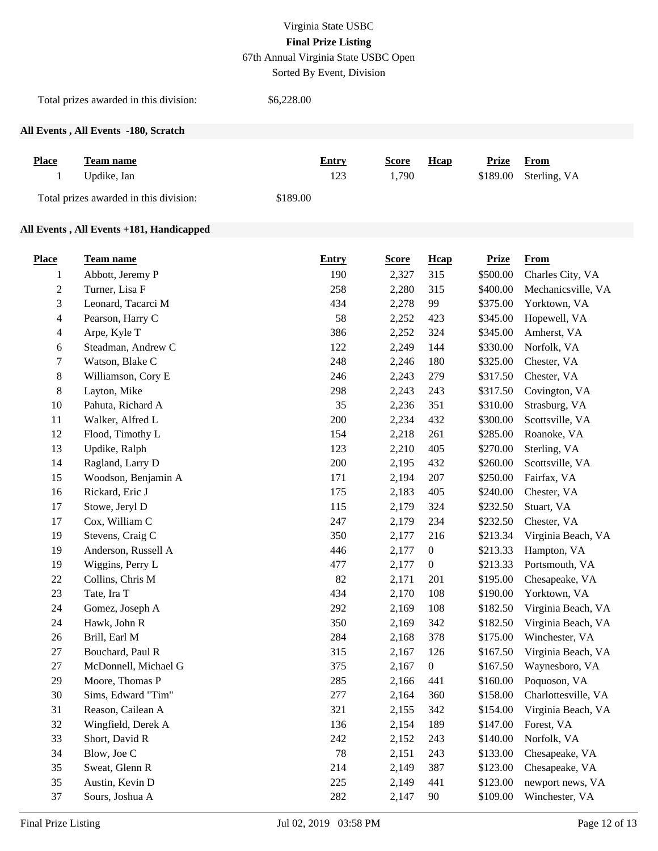67th Annual Virginia State USBC Open

Sorted By Event, Division

Total prizes awarded in this division: \$6,228.00

## **All Events , All Events -180, Scratch**

| <b>Place</b> | Team name                              | <b>Entry</b> | <b>Score</b> | <b>H</b> cap | Prize From            |
|--------------|----------------------------------------|--------------|--------------|--------------|-----------------------|
| $\mathbf{1}$ | Updike, Ian                            | 123          | 1.790        |              | \$189.00 Sterling, VA |
|              | Total prizes awarded in this division: | \$189.00     |              |              |                       |

## **All Events , All Events +181, Handicapped**

| <b>Place</b>     | Team name            | <b>Entry</b> | <b>Score</b> | <b>H</b> cap     | <b>Prize</b> | <b>From</b>         |
|------------------|----------------------|--------------|--------------|------------------|--------------|---------------------|
| $\mathbf{1}$     | Abbott, Jeremy P     | 190          | 2,327        | 315              | \$500.00     | Charles City, VA    |
| $\boldsymbol{2}$ | Turner, Lisa F       | 258          | 2,280        | 315              | \$400.00     | Mechanicsville, VA  |
| 3                | Leonard, Tacarci M   | 434          | 2,278        | 99               | \$375.00     | Yorktown, VA        |
| 4                | Pearson, Harry C     | 58           | 2,252        | 423              | \$345.00     | Hopewell, VA        |
| 4                | Arpe, Kyle T         | 386          | 2,252        | 324              | \$345.00     | Amherst, VA         |
| 6                | Steadman, Andrew C   | 122          | 2,249        | 144              | \$330.00     | Norfolk, VA         |
| 7                | Watson, Blake C      | 248          | 2,246        | 180              | \$325.00     | Chester, VA         |
| $8\,$            | Williamson, Cory E   | 246          | 2,243        | 279              | \$317.50     | Chester, VA         |
| $8\,$            | Layton, Mike         | 298          | 2,243        | 243              | \$317.50     | Covington, VA       |
| 10               | Pahuta, Richard A    | 35           | 2,236        | 351              | \$310.00     | Strasburg, VA       |
| 11               | Walker, Alfred L     | 200          | 2,234        | 432              | \$300.00     | Scottsville, VA     |
| 12               | Flood, Timothy L     | 154          | 2,218        | 261              | \$285.00     | Roanoke, VA         |
| 13               | Updike, Ralph        | 123          | 2,210        | 405              | \$270.00     | Sterling, VA        |
| 14               | Ragland, Larry D     | 200          | 2,195        | 432              | \$260.00     | Scottsville, VA     |
| 15               | Woodson, Benjamin A  | 171          | 2,194        | 207              | \$250.00     | Fairfax, VA         |
| 16               | Rickard, Eric J      | 175          | 2,183        | 405              | \$240.00     | Chester, VA         |
| 17               | Stowe, Jeryl D       | 115          | 2,179        | 324              | \$232.50     | Stuart, VA          |
| 17               | Cox, William C       | 247          | 2,179        | 234              | \$232.50     | Chester, VA         |
| 19               | Stevens, Craig C     | 350          | 2,177        | 216              | \$213.34     | Virginia Beach, VA  |
| 19               | Anderson, Russell A  | 446          | 2,177        | $\boldsymbol{0}$ | \$213.33     | Hampton, VA         |
| 19               | Wiggins, Perry L     | 477          | 2,177        | $\boldsymbol{0}$ | \$213.33     | Portsmouth, VA      |
| $22\,$           | Collins, Chris M     | 82           | 2,171        | 201              | \$195.00     | Chesapeake, VA      |
| 23               | Tate, Ira T          | 434          | 2,170        | 108              | \$190.00     | Yorktown, VA        |
| 24               | Gomez, Joseph A      | 292          | 2,169        | 108              | \$182.50     | Virginia Beach, VA  |
| 24               | Hawk, John R         | 350          | 2,169        | 342              | \$182.50     | Virginia Beach, VA  |
| 26               | Brill, Earl M        | 284          | 2,168        | 378              | \$175.00     | Winchester, VA      |
| 27               | Bouchard, Paul R     | 315          | 2,167        | 126              | \$167.50     | Virginia Beach, VA  |
| 27               | McDonnell, Michael G | 375          | 2,167        | $\boldsymbol{0}$ | \$167.50     | Waynesboro, VA      |
| 29               | Moore, Thomas P      | 285          | 2,166        | 441              | \$160.00     | Poquoson, VA        |
| 30               | Sims, Edward "Tim"   | 277          | 2,164        | 360              | \$158.00     | Charlottesville, VA |
| 31               | Reason, Cailean A    | 321          | 2,155        | 342              | \$154.00     | Virginia Beach, VA  |
| 32               | Wingfield, Derek A   | 136          | 2,154        | 189              | \$147.00     | Forest, VA          |
| 33               | Short, David R       | 242          | 2,152        | 243              | \$140.00     | Norfolk, VA         |
| 34               | Blow, Joe C          | 78           | 2,151        | 243              | \$133.00     | Chesapeake, VA      |
| 35               | Sweat, Glenn R       | 214          | 2,149        | 387              | \$123.00     | Chesapeake, VA      |
| 35               | Austin, Kevin D      | 225          | 2,149        | 441              | \$123.00     | newport news, VA    |
| 37               | Sours, Joshua A      | 282          | 2,147        | $90\,$           | \$109.00     | Winchester, VA      |